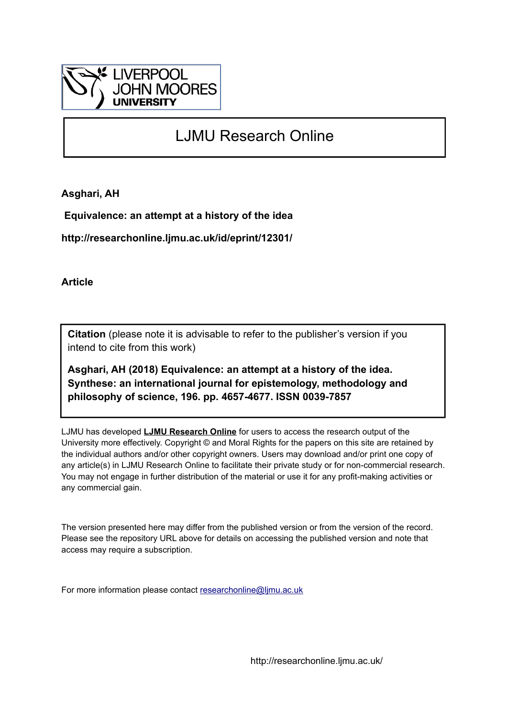

# LJMU Research Online

**Asghari, AH**

 **Equivalence: an attempt at a history of the idea**

**http://researchonline.ljmu.ac.uk/id/eprint/12301/**

**Article**

**Citation** (please note it is advisable to refer to the publisher's version if you intend to cite from this work)

**Asghari, AH (2018) Equivalence: an attempt at a history of the idea. Synthese: an international journal for epistemology, methodology and philosophy of science, 196. pp. 4657-4677. ISSN 0039-7857** 

LJMU has developed **[LJMU Research Online](http://researchonline.ljmu.ac.uk/)** for users to access the research output of the University more effectively. Copyright © and Moral Rights for the papers on this site are retained by the individual authors and/or other copyright owners. Users may download and/or print one copy of any article(s) in LJMU Research Online to facilitate their private study or for non-commercial research. You may not engage in further distribution of the material or use it for any profit-making activities or any commercial gain.

The version presented here may differ from the published version or from the version of the record. Please see the repository URL above for details on accessing the published version and note that access may require a subscription.

For more information please contact [researchonline@ljmu.ac.uk](mailto:researchonline@ljmu.ac.uk)

http://researchonline.ljmu.ac.uk/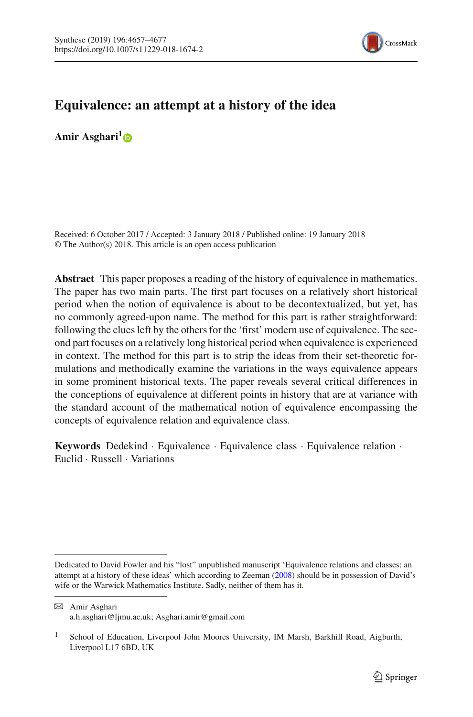

# **Equivalence: an attempt at a history of the idea**

**Amir Asghari[1](http://orcid.org/0000-0001-9658-2137)**

Received: 6 October 2017 / Accepted: 3 January 2018 / Published online: 19 January 2018 © The Author(s) 2018. This article is an open access publication

**Abstract** This paper proposes a reading of the history of equivalence in mathematics. The paper has two main parts. The first part focuses on a relatively short historical period when the notion of equivalence is about to be decontextualized, but yet, has no commonly agreed-upon name. The method for this part is rather straightforward: following the clues left by the others for the 'first' modern use of equivalence. The second part focuses on a relatively long historical period when equivalence is experienced in context. The method for this part is to strip the ideas from their set-theoretic formulations and methodically examine the variations in the ways equivalence appears in some prominent historical texts. The paper reveals several critical differences in the conceptions of equivalence at different points in history that are at variance with the standard account of the mathematical notion of equivalence encompassing the concepts of equivalence relation and equivalence class.

**Keywords** Dedekind · Equivalence · Equivalence class · Equivalence relation · Euclid · Russell · Variations

Dedicated to David Fowler and his "lost" unpublished manuscript 'Equivalence relations and classes: an attempt at a history of these ideas' which according to Zeema[n](#page-21-0) [\(2008](#page-21-0)) should be in possession of David's wife or the Warwick Mathematics Institute. Sadly, neither of them has it.

B Amir Asghari a.h.asghari@ljmu.ac.uk; Asghari.amir@gmail.com

<sup>&</sup>lt;sup>1</sup> School of Education, Liverpool John Moores University, IM Marsh, Barkhill Road, Aigburth, Liverpool L17 6BD, UK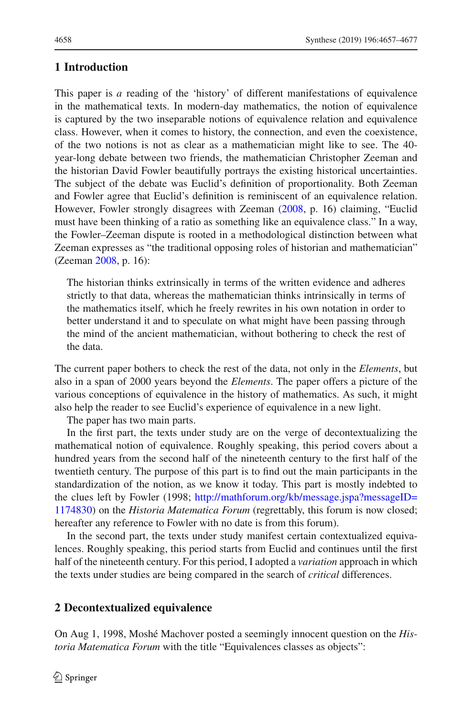### **1 Introduction**

This paper is *a* reading of the 'history' of different manifestations of equivalence in the mathematical texts. In modern-day mathematics, the notion of equivalence is captured by the two inseparable notions of equivalence relation and equivalence class. However, when it comes to history, the connection, and even the coexistence, of the two notions is not as clear as a mathematician might like to see. The 40 year-long debate between two friends, the mathematician Christopher Zeeman and the historian David Fowler beautifully portrays the existing historical uncertainties. The subject of the debate was Euclid's definition of proportionality. Both Zeeman and Fowler agree that Euclid's definition is reminiscent of an equivalence relation. However, Fowler strongly disagrees with Zeeman [\(2008,](#page-21-0) p. 16) claiming, "Euclid must have been thinking of a ratio as something like an equivalence class." In a way, the Fowler–Zeeman dispute is rooted in a methodological distinction between what Zeeman expresses as "the traditional opposing roles of historian and mathematician" (Zeema[n](#page-21-0) [2008,](#page-21-0) p. 16):

The historian thinks extrinsically in terms of the written evidence and adheres strictly to that data, whereas the mathematician thinks intrinsically in terms of the mathematics itself, which he freely rewrites in his own notation in order to better understand it and to speculate on what might have been passing through the mind of the ancient mathematician, without bothering to check the rest of the data.

The current paper bothers to check the rest of the data, not only in the *Elements*, but also in a span of 2000 years beyond the *Elements*. The paper offers a picture of the various conceptions of equivalence in the history of mathematics. As such, it might also help the reader to see Euclid's experience of equivalence in a new light.

The paper has two main parts.

In the first part, the texts under study are on the verge of decontextualizing the mathematical notion of equivalence. Roughly speaking, this period covers about a hundred years from the second half of the nineteenth century to the first half of the twentieth century. The purpose of this part is to find out the main participants in the standardization of the notion, as we know it today. This part is mostly indebted to the clues left by Fowler (1998; [http://mathforum.org/kb/message.jspa?messageID=](http://mathforum.org/kb/message.jspa?messageID=1174830) [1174830\)](http://mathforum.org/kb/message.jspa?messageID=1174830) on the *Historia Matematica Forum* (regrettably, this forum is now closed; hereafter any reference to Fowler with no date is from this forum).

In the second part, the texts under study manifest certain contextualized equivalences. Roughly speaking, this period starts from Euclid and continues until the first half of the nineteenth century. For this period, I adopted a *variation* approach in which the texts under studies are being compared in the search of *critical* differences.

#### **2 Decontextualized equivalence**

On Aug 1, 1998, Moshé Machover posted a seemingly innocent question on the *Historia Matematica Forum* with the title "Equivalences classes as objects":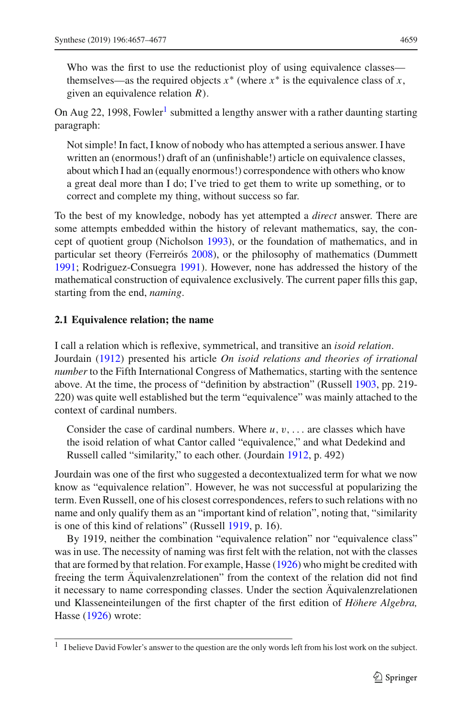Who was the first to use the reductionist ploy of using equivalence classes themselves—as the required objects  $x^*$  (where  $x^*$  is the equivalence class of *x*, given an equivalence relation *R*).

On Aug 22, [1](#page-3-0)998, Fowler<sup>1</sup> submitted a lengthy answer with a rather daunting starting paragraph:

Not simple! In fact, I know of nobody who has attempted a serious answer. I have written an (enormous!) draft of an (unfinishable!) article on equivalence classes, about which I had an (equally enormous!) correspondence with others who know a great deal more than I do; I've tried to get them to write up something, or to correct and complete my thing, without success so far.

To the best of my knowledge, nobody has yet attempted a *direct* answer. There are some attempts embedded within the history of relevant mathematics, say, the concept of quotient group (Nicholso[n](#page-21-1) [1993](#page-21-1)), or the foundation of mathematics, and in particular set theory (Ferreiró[s](#page-20-0) [2008\)](#page-20-0), or the philosophy of mathematics (Dummet[t](#page-20-1) [1991;](#page-20-1) Rodriguez-Consuegr[a](#page-21-2) [1991\)](#page-21-2). However, none has addressed the history of the mathematical construction of equivalence exclusively. The current paper fills this gap, starting from the end, *naming*.

#### **2.1 Equivalence relation; the name**

I call a relation which is reflexive, symmetrical, and transitive an *isoid relation*. Jourdai[n](#page-21-3) [\(1912](#page-21-3)) presented his article *On isoid relations and theories of irrational number* to the Fifth International Congress of Mathematics, starting with the sentence above. At the time, the process of "definition by abstraction" (Russel[l](#page-21-4) [1903,](#page-21-4) pp. 219- 220) was quite well established but the term "equivalence" was mainly attached to the context of cardinal numbers.

Consider the case of cardinal numbers. Where  $u, v, \ldots$  are classes which have the isoid relation of what Cantor called "equivalence," and what Dedekind and Russell called "similarity," to each other. (Jourdai[n](#page-21-3) [1912,](#page-21-3) p. 492)

Jourdain was one of the first who suggested a decontextualized term for what we now know as "equivalence relation". However, he was not successful at popularizing the term. Even Russell, one of his closest correspondences, refers to such relations with no name and only qualify them as an "important kind of relation", noting that, "similarity is one of this kind of relations" (Russel[l](#page-21-5) [1919,](#page-21-5) p. 16).

By 1919, neither the combination "equivalence relation" nor "equivalence class" was in use. The necessity of naming was first felt with the relation, not with the classes that are formed by that relation. For example, Hass[e](#page-21-6) [\(1926\)](#page-21-6) who might be credited with freeing the term Äquivalenzrelationen" from the context of the relation did not find it necessary to name corresponding classes. Under the section Äquivalenzrelationen und Klasseneinteilungen of the first chapter of the first edition of *Höhere Algebra,* Hass[e](#page-21-6) [\(1926](#page-21-6)) wrote:

<span id="page-3-0"></span><sup>&</sup>lt;sup>1</sup> I believe David Fowler's answer to the question are the only words left from his lost work on the subject.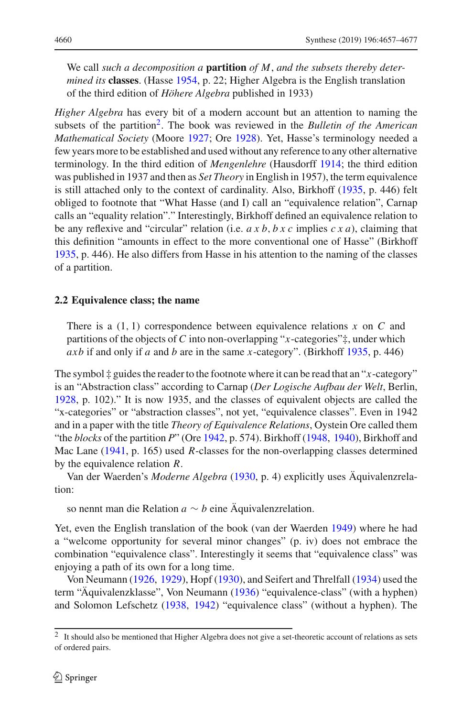We call *such a decomposition a* **partition** *of M*, *and the subsets thereby determined its* **classes**. (Hass[e](#page-21-7) [1954](#page-21-7), p. 22; Higher Algebra is the English translation of the third edition of *Höhere Algebra* published in 1933)

*Higher Algebra* has every bit of a modern account but an attention to naming the subsets of the partition[2.](#page-4-0) The book was reviewed in the *Bulletin of the American Mathematical Society* (Moor[e](#page-21-8) [1927](#page-21-8); Or[e](#page-21-9) [1928](#page-21-9)). Yet, Hasse's terminology needed a few years more to be established and used without any reference to any other alternative terminology. In the third edition of *Mengenlehre* (Hausdorf[f](#page-21-10) [1914](#page-21-10); the third edition was published in 1937 and then as *Set Theory* in English in 1957), the term equivalence is still attached only to the context of cardinality. Also, Birkhoff [\(1935](#page-20-2), p. 446) felt obliged to footnote that "What Hasse (and I) call an "equivalence relation", Carnap calls an "equality relation"." Interestingly, Birkhoff defined an equivalence relation to be any reflexive and "circular" relation (i.e. *axb*, *bxc* implies *cxa*), claiming that this definition "amounts in effect to the more conventional one of Hasse" (Birkhof[f](#page-20-2) [1935,](#page-20-2) p. 446). He also differs from Hasse in his attention to the naming of the classes of a partition.

#### **2.2 Equivalence class; the name**

There is a (1, 1) correspondence between equivalence relations *x* on *C* and partitions of the objects of *C* into non-overlapping "*x*-categories"‡, under which *axb* if and only if *a* and *b* are in the same *x*-category". (Birkhof[f](#page-20-2) [1935](#page-20-2), p. 446)

The symbol  $\ddagger$  guides the reader to the footnote where it can be read that an " $x$ -category" is an "Abstraction class" according to Carnap (*Der Logische Aufbau der Welt*, Berlin, [1928,](#page-20-3) p. 102)." It is now 1935, and the classes of equivalent objects are called the "x-categories" or "abstraction classes", not yet, "equivalence classes". Even in 1942 and in a paper with the title *Theory of Equivalence Relations*, Oystein Ore called them "the *blocks* of the partition *P*" (Or[e](#page-21-11) [1942,](#page-21-11) p. 574). Birkhof[f](#page-20-4) [\(1948](#page-20-4), [1940\)](#page-20-5), Birkhoff and Mac Lane [\(1941](#page-20-6), p. 165) used *R*-classes for the non-overlapping classes determined by the equivalence relation *R*.

Van der Waerden's *Moderne Algebra* [\(1930](#page-21-12), p. 4) explicitly uses Äquivalenzrelation:

so nennt man die Relation *a* ∼ *b* eine Äquivalenzrelation.

Yet, even the English translation of the book (van der Waerde[n](#page-21-13) [1949\)](#page-21-13) where he had a "welcome opportunity for several minor changes" (p. iv) does not embrace the combination "equivalence class". Interestingly it seems that "equivalence class" was enjoying a path of its own for a long time.

Von Neuman[n](#page-21-14) [\(1926,](#page-21-14) [1929](#page-21-15)), Hop[f](#page-21-16) [\(1930](#page-21-16)), and Seifert and Threlfal[l](#page-21-17) [\(1934\)](#page-21-17) used the term "Äquivalenzklasse", Von Neuman[n](#page-21-18) [\(1936\)](#page-21-18) "equivalence-class" (with a hyphen) and Solomon Lefschet[z](#page-21-19) [\(1938](#page-21-19), [1942](#page-21-20)) "equivalence class" (without a hyphen). The

<span id="page-4-0"></span><sup>&</sup>lt;sup>2</sup> It should also be mentioned that Higher Algebra does not give a set-theoretic account of relations as sets of ordered pairs.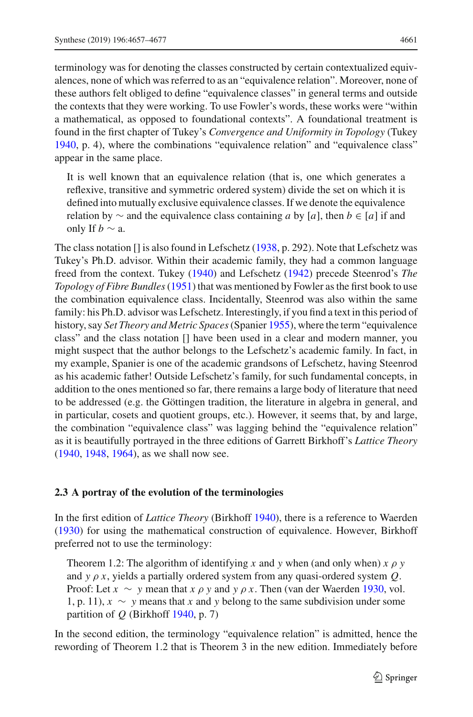terminology was for denoting the classes constructed by certain contextualized equivalences, none of which was referred to as an "equivalence relation". Moreover, none of these authors felt obliged to define "equivalence classes" in general terms and outside the contexts that they were working. To use Fowler's words, these works were "within a mathematical, as opposed to foundational contexts". A foundational treatment is found in the first chapter of Tukey's *Convergence and Uniformity in Topology* (Tuke[y](#page-21-21) [1940,](#page-21-21) p. 4), where the combinations "equivalence relation" and "equivalence class" appear in the same place.

It is well known that an equivalence relation (that is, one which generates a reflexive, transitive and symmetric ordered system) divide the set on which it is defined into mutually exclusive equivalence classes. If we denote the equivalence relation by  $\sim$  and the equivalence class containing *a* by [*a*], then *b* ∈ [*a*] if and only If *.* 

The class notation [] is also found in Lefschetz [\(1938,](#page-21-19) p. 292). Note that Lefschetz was Tukey's Ph.D. advisor. Within their academic family, they had a common language freed from the context. Tuke[y](#page-21-21) [\(1940](#page-21-21)) and Lefschet[z](#page-21-20) [\(1942](#page-21-20)) precede Steenrod's *The Topology of Fibre Bundles*[\(1951\)](#page-21-22) that was mentioned by Fowler as the first book to use the combination equivalence class. Incidentally, Steenrod was also within the same family: his Ph.D. advisor was Lefschetz. Interestingly, if you find a text in this period of history, say *Set Theory and Metric Spaces*(Spanie[r](#page-21-23) [1955\)](#page-21-23), where the term "equivalence class" and the class notation [] have been used in a clear and modern manner, you might suspect that the author belongs to the Lefschetz's academic family. In fact, in my example, Spanier is one of the academic grandsons of Lefschetz, having Steenrod as his academic father! Outside Lefschetz's family, for such fundamental concepts, in addition to the ones mentioned so far, there remains a large body of literature that need to be addressed (e.g. the Göttingen tradition, the literature in algebra in general, and in particular, cosets and quotient groups, etc.). However, it seems that, by and large, the combination "equivalence class" was lagging behind the "equivalence relation" as it is beautifully portrayed in the three editions of Garrett Birkhoff's *Lattice Theory* [\(1940,](#page-20-5) [1948,](#page-20-4) [1964\)](#page-20-7), as we shall now see.

#### **2.3 A portray of the evolution of the terminologies**

In the first edition of *Lattice Theory* (Birkhof[f](#page-20-5) [1940](#page-20-5)), there is a reference to Waerde[n](#page-21-12) [\(1930\)](#page-21-12) for using the mathematical construction of equivalence. However, Birkhoff preferred not to use the terminology:

Theorem 1.2: The algorithm of identifying *x* and *y* when (and only when)  $x \rho y$ and *y* ρ *x*, yields a partially ordered system from any quasi-ordered system *Q*. Proof: Let  $x \sim y$  mea[n](#page-21-12) that  $x \rho y$  and  $y \rho x$ . Then (van der Waerden [1930,](#page-21-12) vol. 1, p. 11), *x* ∼ *y* means that *x* and *y* belong to the same subdivision under some partition of *Q* (Birkhof[f](#page-20-5) [1940,](#page-20-5) p. 7)

In the second edition, the terminology "equivalence relation" is admitted, hence the rewording of Theorem 1.2 that is Theorem 3 in the new edition. Immediately before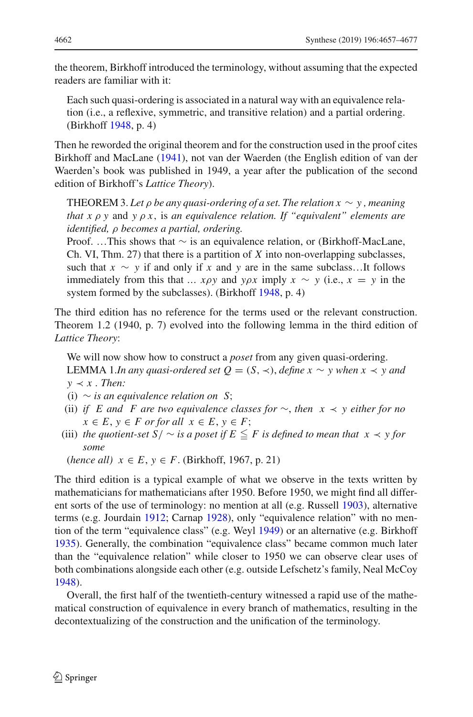the theorem, Birkhoff introduced the terminology, without assuming that the expected readers are familiar with it:

Each such quasi-ordering is associated in a natural way with an equivalence relation (i.e., a reflexive, symmetric, and transitive relation) and a partial ordering. (Birkhof[f](#page-20-4) [1948,](#page-20-4) p. 4)

Then he reworded the original theorem and for the construction used in the proof cites Birkhoff and MacLan[e](#page-20-6) [\(1941\)](#page-20-6), not van der Waerden (the English edition of van der Waerden's book was published in 1949, a year after the publication of the second edition of Birkhoff's *Lattice Theory*).

THEOREM 3. Let  $\rho$  be any quasi-ordering of a set. The relation  $x \sim y$ , meaning *that x* ρ *y* and *y* ρ *x*, is *an equivalence relation. If "equivalent" elements are identified,* ρ *becomes a partial, ordering.*

Proof. …This shows that ∼ is an equivalence relation, or (Birkhoff-MacLane, Ch. VI, Thm. 27) that there is a partition of *X* into non-overlapping subclasses, such that  $x \sim y$  if and only if *x* and *y* are in the same subclass...It follows immediately from this that *… xρy* and *yρx* imply  $x \sim y$  (i.e.,  $x = y$  in the system formed by the subclasses). (Birkhof[f](#page-20-4) [1948](#page-20-4), p. 4)

The third edition has no reference for the terms used or the relevant construction. Theorem 1.2 (1940, p. 7) evolved into the following lemma in the third edition of *Lattice Theory*:

We will now show how to construct a *poset* from any given quasi-ordering. LEMMA 1.*In any quasi-ordered set Q* = (*S*, ≺), *define x* ∼ *y* when *x* ≺ *y* and  $y \prec x$ . *Then:* 

- (i) ∼ *is an equivalence relation on S*;
- (ii) *if E and F are two equivalence classes for* ∼, *then x* ≺ *y either for no*  $x \in E$ ,  $y \in F$  *or for all*  $x \in E$ ,  $y \in F$ ;
- (iii) *the quotient-set*  $S / \sim$  *is a poset if*  $E \leq F$  *is defined to mean that*  $x \prec y$  *for some*

(*hence all*)  $x \in E$ ,  $y \in F$ . (Birkhoff, 1967, p. 21)

The third edition is a typical example of what we observe in the texts written by mathematicians for mathematicians after 1950. Before 1950, we might find all different sorts of the use of terminology: no mention at all (e.g. Russel[l](#page-21-4) [1903\)](#page-21-4), alternative terms (e.g. Jourdai[n](#page-21-3) [1912;](#page-21-3) Carna[p](#page-20-3) [1928\)](#page-20-3), only "equivalence relation" with no mention of the term "equivalence class" (e.g. Wey[l](#page-21-24) [1949](#page-21-24)) or an alternative (e.g. Birkhof[f](#page-20-2) [1935\)](#page-20-2). Generally, the combination "equivalence class" became common much later than the "equivalence relation" while closer to 1950 we can observe clear uses of both combinations alongside each other (e.g. outside Lefschetz's family, Neal McCo[y](#page-21-25) [1948\)](#page-21-25).

Overall, the first half of the twentieth-century witnessed a rapid use of the mathematical construction of equivalence in every branch of mathematics, resulting in the decontextualizing of the construction and the unification of the terminology.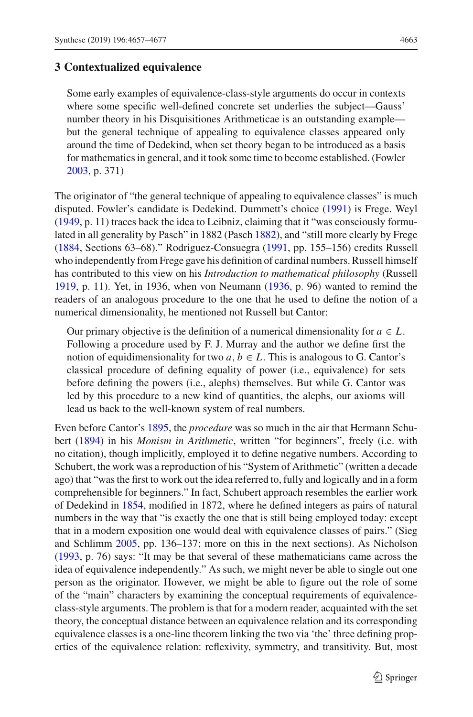# **3 Contextualized equivalence**

Some early examples of equivalence-class-style arguments do occur in contexts where some specific well-defined concrete set underlies the subject—Gauss' number theory in his Disquisitiones Arithmeticae is an outstanding example but the general technique of appealing to equivalence classes appeared only around the time of Dedekind, when set theory began to be introduced as a basis for mathematics in general, and it took some time to become established. (Fowle[r](#page-20-8) [2003,](#page-20-8) p. 371)

The originator of "the general technique of appealing to equivalence classes" is much disputed. Fowler's candidate is Dedekind. Dummett's choice [\(1991](#page-20-1)) is Frege. Weyl [\(1949,](#page-21-24) p. 11) traces back the idea to Leibniz, claiming that it "was consciously formulated in all generality by Pasch" in 1882 (Pasc[h](#page-21-26) [1882\)](#page-21-26), and "still more clearly by Frege [\(1884,](#page-20-9) Sections 63–68)." Rodriguez-Consuegra [\(1991](#page-21-2), pp. 155–156) credits Russell who independently from Frege gave his definition of cardinal numbers. Russell himself has contributed to this view on his *Introduction to mathematical philosophy* (Russel[l](#page-21-5) [1919,](#page-21-5) p. 11). Yet, in 1936, when von Neumann [\(1936](#page-21-18), p. 96) wanted to remind the readers of an analogous procedure to the one that he used to define the notion of a numerical dimensionality, he mentioned not Russell but Cantor:

Our primary objective is the definition of a numerical dimensionality for  $a \in L$ . Following a procedure used by F. J. Murray and the author we define first the notion of equidimensionality for two  $a, b \in L$ . This is analogous to G. Cantor's classical procedure of defining equality of power (i.e., equivalence) for sets before defining the powers (i.e., alephs) themselves. But while G. Cantor was led by this procedure to a new kind of quantities, the alephs, our axioms will lead us back to the well-known system of real numbers.

Even before Cantor's [1895,](#page-20-10) the *procedure* was so much in the air that Hermann Schuber[t](#page-21-27) [\(1894](#page-21-27)) in his *Monism in Arithmetic*, written "for beginners", freely (i.e. with no citation), though implicitly, employed it to define negative numbers. According to Schubert, the work was a reproduction of his "System of Arithmetic" (written a decade ago) that "was the first to work out the idea referred to, fully and logically and in a form comprehensible for beginners." In fact, Schubert approach resembles the earlier work of Dedekind in [1854](#page-20-11), modified in 1872, where he defined integers as pairs of natural numbers in the way that "is exactly the one that is still being employed today: except that in a modern exposition one would deal with equivalence classes of pairs." (Sieg and Schlim[m](#page-21-28) [2005,](#page-21-28) pp. 136–137; more on this in the next sections). As Nicholson [\(1993,](#page-21-1) p. 76) says: "It may be that several of these mathematicians came across the idea of equivalence independently." As such, we might never be able to single out one person as the originator. However, we might be able to figure out the role of some of the "main" characters by examining the conceptual requirements of equivalenceclass-style arguments. The problem is that for a modern reader, acquainted with the set theory, the conceptual distance between an equivalence relation and its corresponding equivalence classes is a one-line theorem linking the two via 'the' three defining properties of the equivalence relation: reflexivity, symmetry, and transitivity. But, most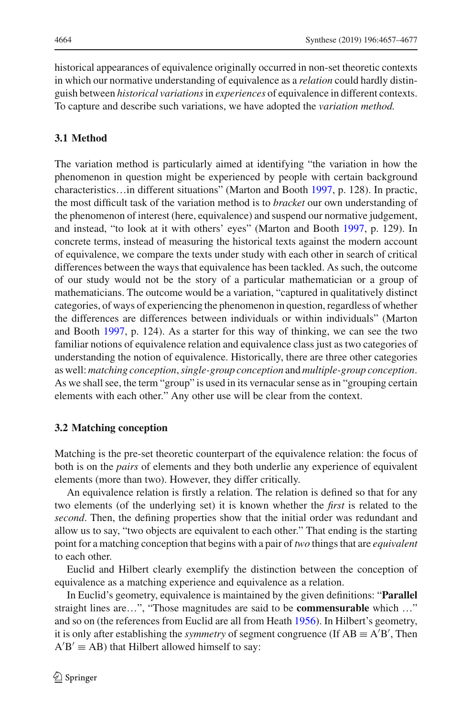historical appearances of equivalence originally occurred in non-set theoretic contexts in which our normative understanding of equivalence as a *relation* could hardly distinguish between *historical variations*in *experiences* of equivalence in different contexts. To capture and describe such variations, we have adopted the *variation method.*

#### **3.1 Method**

The variation method is particularly aimed at identifying "the variation in how the phenomenon in question might be experienced by people with certain background characteristics…in different situations" (Marton and Booth [1997](#page-21-29), p. 128). In practic, the most difficult task of the variation method is to *bracket* our own understanding of the phenomenon of interest (here, equivalence) and suspend our normative judgement, and instead, "to look at it with others' eyes" (Marton and Boot[h](#page-21-29) [1997,](#page-21-29) p. 129). In concrete terms, instead of measuring the historical texts against the modern account of equivalence, we compare the texts under study with each other in search of critical differences between the ways that equivalence has been tackled. As such, the outcome of our study would not be the story of a particular mathematician or a group of mathematicians. The outcome would be a variation, "captured in qualitatively distinct categories, of ways of experiencing the phenomenon in question, regardless of whether the differences are differences between individuals or within individuals" (Marton and Boot[h](#page-21-29) [1997,](#page-21-29) p. 124). As a starter for this way of thinking, we can see the two familiar notions of equivalence relation and equivalence class just as two categories of understanding the notion of equivalence. Historically, there are three other categories as well: *matching conception*,*single-group conception* and *multiple-group conception*. As we shall see, the term "group" is used in its vernacular sense as in "grouping certain elements with each other." Any other use will be clear from the context.

#### **3.2 Matching conception**

Matching is the pre-set theoretic counterpart of the equivalence relation: the focus of both is on the *pairs* of elements and they both underlie any experience of equivalent elements (more than two). However, they differ critically.

An equivalence relation is firstly a relation. The relation is defined so that for any two elements (of the underlying set) it is known whether the *first* is related to the *second*. Then, the defining properties show that the initial order was redundant and allow us to say, "two objects are equivalent to each other." That ending is the starting point for a matching conception that begins with a pair of *two* things that are *equivalent* to each other.

Euclid and Hilbert clearly exemplify the distinction between the conception of equivalence as a matching experience and equivalence as a relation.

In Euclid's geometry, equivalence is maintained by the given definitions: "**Parallel** straight lines are…", "Those magnitudes are said to be **commensurable** which …" and so on (the references from Euclid are all from Heat[h](#page-21-30) [1956](#page-21-30)). In Hilbert's geometry, it is only after establishing the *symmetry* of segment congruence (If  $AB \equiv A'B'$ , Then  $A'B' \equiv AB$ ) that Hilbert allowed himself to say: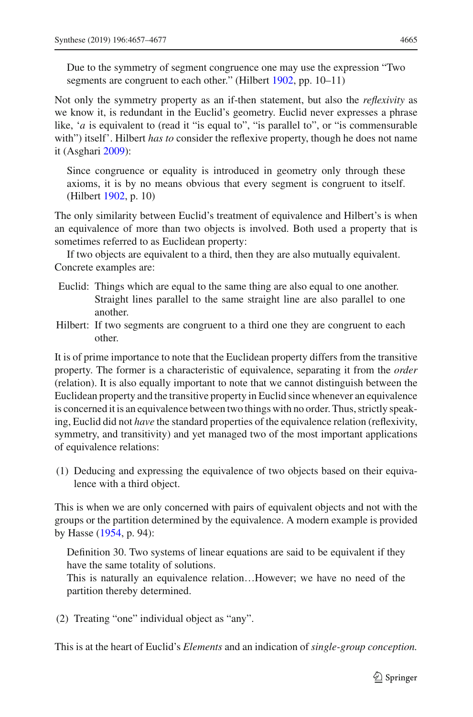Due to the symmetry of segment congruence one may use the expression "Two segmen[t](#page-21-31)s are congruent to each other." (Hilbert [1902,](#page-21-31) pp. 10–11)

Not only the symmetry property as an if-then statement, but also the *reflexivity* as we know it, is redundant in the Euclid's geometry. Euclid never expresses a phrase like, '*a* is equivalent to (read it "is equal to", "is parallel to", or "is commensurable with") itself'. Hilbert *has to* consider the reflexive property, though he does not name it (Asghar[i](#page-20-12) [2009](#page-20-12)):

Since congruence or equality is introduced in geometry only through these axioms, it is by no means obvious that every segment is congruent to itself. (Hilber[t](#page-21-31) [1902](#page-21-31), p. 10)

The only similarity between Euclid's treatment of equivalence and Hilbert's is when an equivalence of more than two objects is involved. Both used a property that is sometimes referred to as Euclidean property:

If two objects are equivalent to a third, then they are also mutually equivalent. Concrete examples are:

- Euclid: Things which are equal to the same thing are also equal to one another. Straight lines parallel to the same straight line are also parallel to one another.
- Hilbert: If two segments are congruent to a third one they are congruent to each other.

It is of prime importance to note that the Euclidean property differs from the transitive property. The former is a characteristic of equivalence, separating it from the *order* (relation). It is also equally important to note that we cannot distinguish between the Euclidean property and the transitive property in Euclid since whenever an equivalence is concerned it is an equivalence between two things with no order. Thus, strictly speaking, Euclid did not *have* the standard properties of the equivalence relation (reflexivity, symmetry, and transitivity) and yet managed two of the most important applications of equivalence relations:

(1) Deducing and expressing the equivalence of two objects based on their equivalence with a third object.

This is when we are only concerned with pairs of equivalent objects and not with the groups or the partition determined by the equivalence. A modern example is provided by Hasse [\(1954,](#page-21-7) p. 94):

Definition 30. Two systems of linear equations are said to be equivalent if they have the same totality of solutions.

This is naturally an equivalence relation…However; we have no need of the partition thereby determined.

(2) Treating "one" individual object as "any".

This is at the heart of Euclid's *Elements* and an indication of *single-group conception.*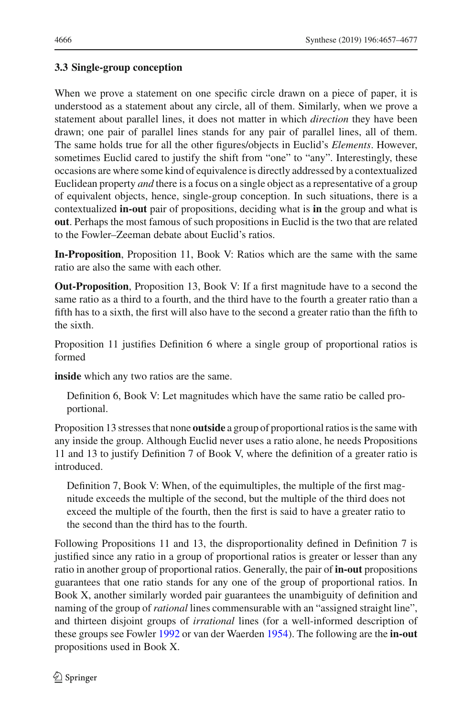# **3.3 Single-group conception**

When we prove a statement on one specific circle drawn on a piece of paper, it is understood as a statement about any circle, all of them. Similarly, when we prove a statement about parallel lines, it does not matter in which *direction* they have been drawn; one pair of parallel lines stands for any pair of parallel lines, all of them. The same holds true for all the other figures/objects in Euclid's *Elements*. However, sometimes Euclid cared to justify the shift from "one" to "any". Interestingly, these occasions are where some kind of equivalence is directly addressed by a contextualized Euclidean property *and* there is a focus on a single object as a representative of a group of equivalent objects, hence, single-group conception. In such situations, there is a contextualized **in-out** pair of propositions, deciding what is **in** the group and what is **out**. Perhaps the most famous of such propositions in Euclid is the two that are related to the Fowler–Zeeman debate about Euclid's ratios.

**In-Proposition**, Proposition 11, Book V: Ratios which are the same with the same ratio are also the same with each other.

**Out-Proposition**, Proposition 13, Book V: If a first magnitude have to a second the same ratio as a third to a fourth, and the third have to the fourth a greater ratio than a fifth has to a sixth, the first will also have to the second a greater ratio than the fifth to the sixth.

Proposition 11 justifies Definition 6 where a single group of proportional ratios is formed

**inside** which any two ratios are the same.

Definition 6, Book V: Let magnitudes which have the same ratio be called proportional.

Proposition 13 stresses that none **outside** a group of proportional ratios is the same with any inside the group. Although Euclid never uses a ratio alone, he needs Propositions 11 and 13 to justify Definition 7 of Book V, where the definition of a greater ratio is introduced.

Definition 7, Book V: When, of the equimultiples, the multiple of the first magnitude exceeds the multiple of the second, but the multiple of the third does not exceed the multiple of the fourth, then the first is said to have a greater ratio to the second than the third has to the fourth.

Following Propositions 11 and 13, the disproportionality defined in Definition 7 is justified since any ratio in a group of proportional ratios is greater or lesser than any ratio in another group of proportional ratios. Generally, the pair of **in-out** propositions guarantees that one ratio stands for any one of the group of proportional ratios. In Book X, another similarly worded pair guarantees the unambiguity of definition and naming of the group of *rational* lines commensurable with an "assigned straight line", and thirteen disjoint groups of *irrational* lines (for a well-informed description of these groups see Fowle[r](#page-20-13) [1992](#page-20-13) or van der Waerde[n](#page-21-32) [1954\)](#page-21-32). The following are the **in-out** propositions used in Book X.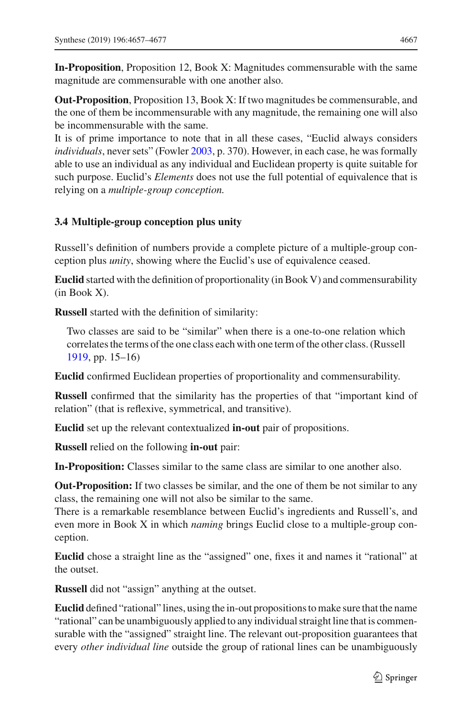**In-Proposition**, Proposition 12, Book X: Magnitudes commensurable with the same magnitude are commensurable with one another also.

**Out-Proposition**, Proposition 13, Book X: If two magnitudes be commensurable, and the one of them be incommensurable with any magnitude, the remaining one will also be incommensurable with the same.

It is of prime importance to note that in all these cases, "Euclid always considers *individuals*, never sets" (Fowle[r](#page-20-8) [2003](#page-20-8), p. 370). However, in each case, he was formally able to use an individual as any individual and Euclidean property is quite suitable for such purpose. Euclid's *Elements* does not use the full potential of equivalence that is relying on a *multiple-group conception.*

#### **3.4 Multiple-group conception plus unity**

Russell's definition of numbers provide a complete picture of a multiple-group conception plus *unity*, showing where the Euclid's use of equivalence ceased.

**Euclid** started with the definition of proportionality (in Book V) and commensurability (in Book X).

**Russell** started with the definition of similarity:

Two classes are said to be "similar" when there is a one-to-one relation which correlates the terms of the one class each with one term of the other class. (Russel[l](#page-21-5) [1919,](#page-21-5) pp. 15–16)

**Euclid** confirmed Euclidean properties of proportionality and commensurability.

**Russell** confirmed that the similarity has the properties of that "important kind of relation" (that is reflexive, symmetrical, and transitive).

**Euclid** set up the relevant contextualized **in-out** pair of propositions.

**Russell** relied on the following **in-out** pair:

**In-Proposition:** Classes similar to the same class are similar to one another also.

**Out-Proposition:** If two classes be similar, and the one of them be not similar to any class, the remaining one will not also be similar to the same.

There is a remarkable resemblance between Euclid's ingredients and Russell's, and even more in Book X in which *naming* brings Euclid close to a multiple-group conception.

**Euclid** chose a straight line as the "assigned" one, fixes it and names it "rational" at the outset.

**Russell** did not "assign" anything at the outset.

**Euclid** defined "rational" lines, using the in-out propositions to make sure that the name "rational" can be unambiguously applied to any individual straight line that is commensurable with the "assigned" straight line. The relevant out-proposition guarantees that every *other individual line* outside the group of rational lines can be unambiguously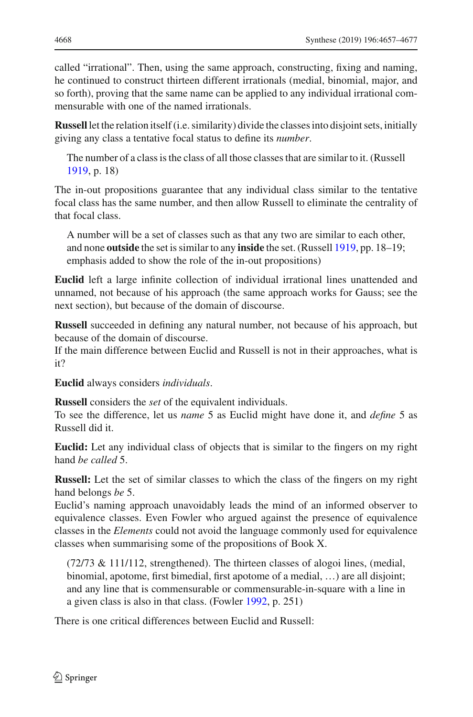called "irrational". Then, using the same approach, constructing, fixing and naming, he continued to construct thirteen different irrationals (medial, binomial, major, and so forth), proving that the same name can be applied to any individual irrational commensurable with one of the named irrationals.

**Russell** let the relation itself (i.e. similarity) divide the classes into disjoint sets, initially giving any class a tentative focal status to define its *number*.

The number of a class is the class of all those classes that are similar to it. (Russel[l](#page-21-5) [1919,](#page-21-5) p. 18)

The in-out propositions guarantee that any individual class similar to the tentative focal class has the same number, and then allow Russell to eliminate the centrality of that focal class.

A number will be a set of classes such as that any two are similar to each other, and none **outside** the set is similar to any **inside** the set. (Russel[l](#page-21-5) [1919,](#page-21-5) pp. 18–19; emphasis added to show the role of the in-out propositions)

**Euclid** left a large infinite collection of individual irrational lines unattended and unnamed, not because of his approach (the same approach works for Gauss; see the next section), but because of the domain of discourse.

**Russell** succeeded in defining any natural number, not because of his approach, but because of the domain of discourse.

If the main difference between Euclid and Russell is not in their approaches, what is it?

**Euclid** always considers *individuals*.

**Russell** considers the *set* of the equivalent individuals.

To see the difference, let us *name* 5 as Euclid might have done it, and *define* 5 as Russell did it.

**Euclid:** Let any individual class of objects that is similar to the fingers on my right hand *be called* 5.

**Russell:** Let the set of similar classes to which the class of the fingers on my right hand belongs *be* 5.

Euclid's naming approach unavoidably leads the mind of an informed observer to equivalence classes. Even Fowler who argued against the presence of equivalence classes in the *Elements* could not avoid the language commonly used for equivalence classes when summarising some of the propositions of Book X.

(72/73 & 111/112, strengthened). The thirteen classes of alogoi lines, (medial, binomial, apotome, first bimedial, first apotome of a medial, …) are all disjoint; and any line that is commensurable or commensurable-in-square with a line in a given class is also in that class. (Fowle[r](#page-20-13) [1992](#page-20-13), p. 251)

There is one critical differences between Euclid and Russell: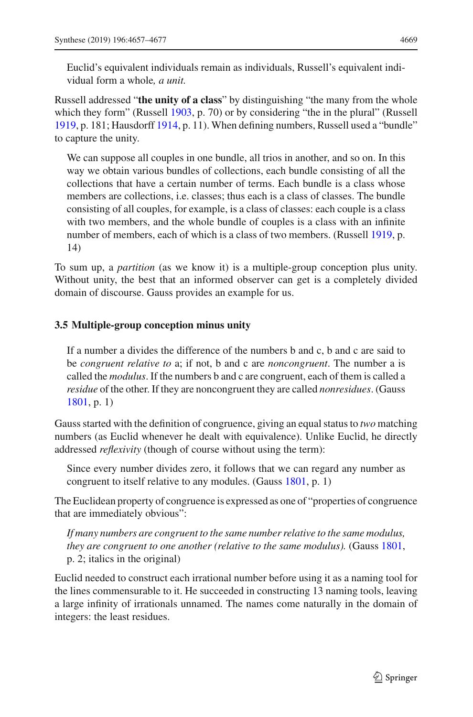Euclid's equivalent individuals remain as individuals, Russell's equivalent individual form a whole*, a unit.*

Russell addressed "**the unity of a class**" by distinguishing "the many from the whole which they form" (Russe[l](#page-21-5)l [1903](#page-21-4), p. 70) or by considering "the in the plural" (Russell [1919,](#page-21-5) p. 181; Hausdorf[f](#page-21-10) [1914](#page-21-10), p. 11). When defining numbers, Russell used a "bundle" to capture the unity.

We can suppose all couples in one bundle, all trios in another, and so on. In this way we obtain various bundles of collections, each bundle consisting of all the collections that have a certain number of terms. Each bundle is a class whose members are collections, i.e. classes; thus each is a class of classes. The bundle consisting of all couples, for example, is a class of classes: each couple is a class with two members, and the whole bundle of couples is a class with an infinite number of members, each of which is a class of two members. (Russel[l](#page-21-5) [1919,](#page-21-5) p. 14)

To sum up, a *partition* (as we know it) is a multiple-group conception plus unity. Without unity, the best that an informed observer can get is a completely divided domain of discourse. Gauss provides an example for us.

#### **3.5 Multiple-group conception minus unity**

If a number a divides the difference of the numbers b and c, b and c are said to be *congruent relative to* a; if not, b and c are *noncongruent*. The number a is called the *modulus*. If the numbers b and c are congruent, each of them is called a *residue* of the other. If they are noncongruent they are called *nonresidues*. (Gaus[s](#page-21-33) [1801,](#page-21-33) p. 1)

Gauss started with the definition of congruence, giving an equal status to *two* matching numbers (as Euclid whenever he dealt with equivalence). Unlike Euclid, he directly addressed *reflexivity* (though of course without using the term):

Since every number divides zero, it follows that we can regard any number as congruent to itself relative to any modules. (Gaus[s](#page-21-33) [1801,](#page-21-33) p. 1)

The Euclidean property of congruence is expressed as one of "properties of congruence that are immediately obvious":

*If many numbers are congruent to the same number relative to the same modulus, they are congruent to one another (relative to the same modulus).* (Gaus[s](#page-21-33) [1801](#page-21-33), p. 2; italics in the original)

Euclid needed to construct each irrational number before using it as a naming tool for the lines commensurable to it. He succeeded in constructing 13 naming tools, leaving a large infinity of irrationals unnamed. The names come naturally in the domain of integers: the least residues.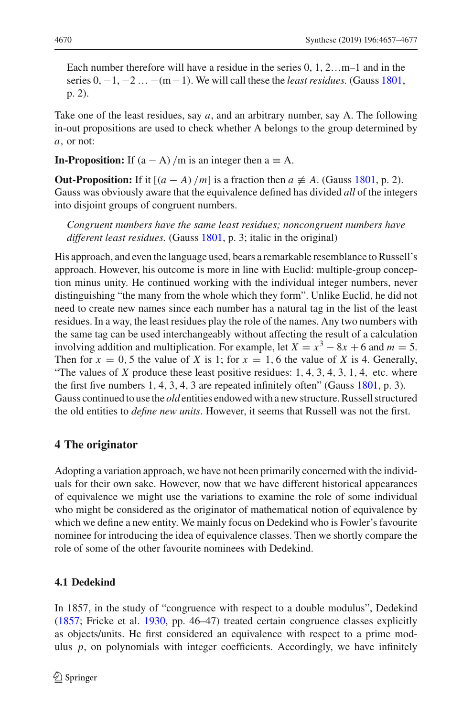Each number therefore will have a residue in the series 0, 1, 2…m–1 and in the [s](#page-21-33)eries 0, −1, −2 … −(m−1). We will call these the *least residues*. (Gauss [1801](#page-21-33), p. 2).

Take one of the least residues, say *a*, and an arbitrary number, say A. The following in-out propositions are used to check whether A belongs to the group determined by *a*, or not:

**In-Proposition:** If  $(a - A) / m$  is an integer then  $a \equiv A$ .

**Out-Propo[s](#page-21-33)ition:** If it  $[(a - A)/m]$  is a fraction then  $a \neq A$ . (Gauss [1801](#page-21-33), p. 2). Gauss was obviously aware that the equivalence defined has divided *all* of the integers into disjoint groups of congruent numbers.

*Congruent numbers have the same least residues; noncongruent numbers have different least residues.* (Gaus[s](#page-21-33) [1801,](#page-21-33) p. 3; italic in the original)

His approach, and even the language used, bears a remarkable resemblance to Russell's approach. However, his outcome is more in line with Euclid: multiple-group conception minus unity. He continued working with the individual integer numbers, never distinguishing "the many from the whole which they form". Unlike Euclid, he did not need to create new names since each number has a natural tag in the list of the least residues. In a way, the least residues play the role of the names. Any two numbers with the same tag can be used interchangeably without affecting the result of a calculation involving addition and multiplication. For example, let  $X = x^3 - 8x + 6$  and  $m = 5$ . Then for  $x = 0.5$  the value of *X* is 1; for  $x = 1, 6$  the value of *X* is 4. Generally, "The values of  $X$  produce these least positive residues:  $1, 4, 3, 4, 3, 1, 4$ , etc. where the fir[s](#page-21-33)t five numbers  $1, 4, 3, 4, 3$  are repeated infinitely often" (Gauss [1801,](#page-21-33) p. 3). Gauss continued to use the *old* entities endowed with a new structure. Russell structured the old entities to *define new units*. However, it seems that Russell was not the first.

#### **4 The originator**

Adopting a variation approach, we have not been primarily concerned with the individuals for their own sake. However, now that we have different historical appearances of equivalence we might use the variations to examine the role of some individual who might be considered as the originator of mathematical notion of equivalence by which we define a new entity. We mainly focus on Dedekind who is Fowler's favourite nominee for introducing the idea of equivalence classes. Then we shortly compare the role of some of the other favourite nominees with Dedekind.

#### **4.1 Dedekind**

In 1857, in the study of "congruence with respect to a double modulus", Dedekind [\(1857;](#page-20-14) Fricke et al. [1930,](#page-21-34) pp. 46–47) treated certain congruence classes explicitly as objects/units. He first considered an equivalence with respect to a prime modulus *p*, on polynomials with integer coefficients. Accordingly, we have infinitely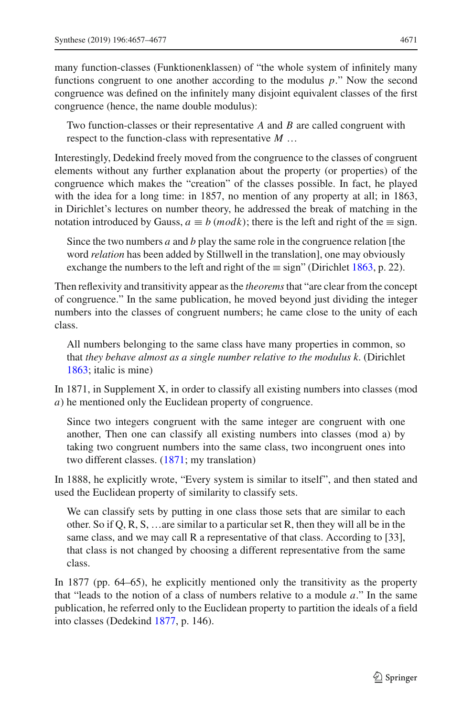many function-classes (Funktionenklassen) of "the whole system of infinitely many functions congruent to one another according to the modulus *p*." Now the second congruence was defined on the infinitely many disjoint equivalent classes of the first congruence (hence, the name double modulus):

Two function-classes or their representative *A* and *B* are called congruent with respect to the function-class with representative *M* …

Interestingly, Dedekind freely moved from the congruence to the classes of congruent elements without any further explanation about the property (or properties) of the congruence which makes the "creation" of the classes possible. In fact, he played with the idea for a long time: in 1857, no mention of any property at all; in 1863, in Dirichlet's lectures on number theory, he addressed the break of matching in the notation introduced by Gauss,  $a \equiv b \ (mod k)$ ; there is the left and right of the  $\equiv$  sign.

Since the two numbers *a* and *b* play the same role in the congruence relation [the word *relation* has been added by Stillwell in the translation], one may obviously exchange [t](#page-20-15)he numbers to the left and right of the  $\equiv$  sign" (Dirichlet [1863,](#page-20-15) p. 22).

Then reflexivity and transitivity appear as the *theorems*that "are clear from the concept of congruence." In the same publication, he moved beyond just dividing the integer numbers into the classes of congruent numbers; he came close to the unity of each class.

All numbers belonging to the same class have many properties in common, so that *they behave almost as a single number relative to the modulus k*. (Dirichle[t](#page-20-15) [1863;](#page-20-15) italic is mine)

In 1871, in Supplement X, in order to classify all existing numbers into classes (mod *a*) he mentioned only the Euclidean property of congruence.

Since two integers congruent with the same integer are congruent with one another, Then one can classify all existing numbers into classes (mod a) by taking two congruent numbers into the same class, two incongruent ones into two different classes. [\(1871;](#page-20-16) my translation)

In 1888, he explicitly wrote, "Every system is similar to itself", and then stated and used the Euclidean property of similarity to classify sets.

We can classify sets by putting in one class those sets that are similar to each other. So if Q, R, S, …are similar to a particular set R, then they will all be in the same class, and we may call R a representative of that class. According to [33], that class is not changed by choosing a different representative from the same class.

In 1877 (pp. 64–65), he explicitly mentioned only the transitivity as the property that "leads to the notion of a class of numbers relative to a module *a*." In the same publication, he referred only to the Euclidean property to partition the ideals of a field into classes (Dedekin[d](#page-20-17) [1877](#page-20-17), p. 146).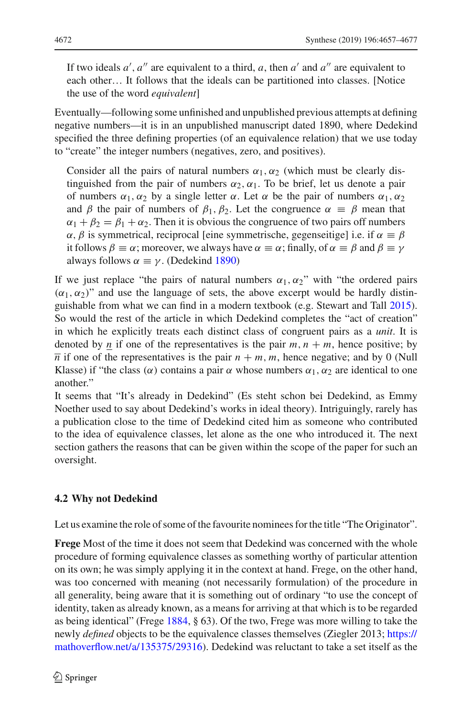If two ideals  $a'$ ,  $a''$  are equivalent to a third,  $a$ , then  $a'$  and  $a''$  are equivalent to each other… It follows that the ideals can be partitioned into classes. [Notice the use of the word *equivalent*]

Eventually—following some unfinished and unpublished previous attempts at defining negative numbers—it is in an unpublished manuscript dated 1890, where Dedekind specified the three defining properties (of an equivalence relation) that we use today to "create" the integer numbers (negatives, zero, and positives).

Consider all the pairs of natural numbers  $\alpha_1, \alpha_2$  (which must be clearly distinguished from the pair of numbers  $\alpha_2, \alpha_1$ . To be brief, let us denote a pair of numbers  $\alpha_1, \alpha_2$  by a single letter  $\alpha$ . Let  $\alpha$  be the pair of numbers  $\alpha_1, \alpha_2$ and  $\beta$  the pair of numbers of  $\beta_1$ ,  $\beta_2$ . Let the congruence  $\alpha \equiv \beta$  mean that  $\alpha_1 + \beta_2 = \beta_1 + \alpha_2$ . Then it is obvious the congruence of two pairs off numbers  $\alpha$ ,  $\beta$  is symmetrical, reciprocal [eine symmetrische, gegenseitige] i.e. if  $\alpha \equiv \beta$ it follows  $\beta \equiv \alpha$ ; moreover, we always have  $\alpha \equiv \alpha$ ; finally, of  $\alpha \equiv \beta$  and  $\beta \equiv \gamma$ always follows  $\alpha \equiv \gamma$ . (De[d](#page-20-18)ekind [1890\)](#page-20-18)

If we just replace "the pairs of natural numbers  $\alpha_1, \alpha_2$ " with "the ordered pairs"  $(\alpha_1, \alpha_2)$ " and use the language of sets, the above excerpt would be hardly distinguishable from what we can find in a modern textbook (e.g. Stewart and Tal[l](#page-21-35) [2015](#page-21-35)). So would the rest of the article in which Dedekind completes the "act of creation" in which he explicitly treats each distinct class of congruent pairs as a *unit*. It is denoted by *n* if one of the representatives is the pair  $m, n + m$ , hence positive; by  $\overline{n}$  if one of the representatives is the pair  $n + m$ ,  $m$ , hence negative; and by 0 (Null Klasse) if "the class ( $\alpha$ ) contains a pair  $\alpha$  whose numbers  $\alpha_1, \alpha_2$  are identical to one another."

It seems that "It's already in Dedekind" (Es steht schon bei Dedekind, as Emmy Noether used to say about Dedekind's works in ideal theory). Intriguingly, rarely has a publication close to the time of Dedekind cited him as someone who contributed to the idea of equivalence classes, let alone as the one who introduced it. The next section gathers the reasons that can be given within the scope of the paper for such an oversight.

# **4.2 Why not Dedekind**

Let us examine the role of some of the favourite nominees for the title "The Originator".

**Frege** Most of the time it does not seem that Dedekind was concerned with the whole procedure of forming equivalence classes as something worthy of particular attention on its own; he was simply applying it in the context at hand. Frege, on the other hand, was too concerned with meaning (not necessarily formulation) of the procedure in all generality, being aware that it is something out of ordinary "to use the concept of identity, taken as already known, as a means for arriving at that which is to be regarded as being identical" (Freg[e](#page-20-9) [1884,](#page-20-9) § 63). Of the two, Frege was more willing to take the newly *defined* objects to be the equivalence classes themselves (Ziegler 2013; [https://](https://mathoverflow.net/a/135375/29316) [mathoverflow.net/a/135375/29316\)](https://mathoverflow.net/a/135375/29316). Dedekind was reluctant to take a set itself as the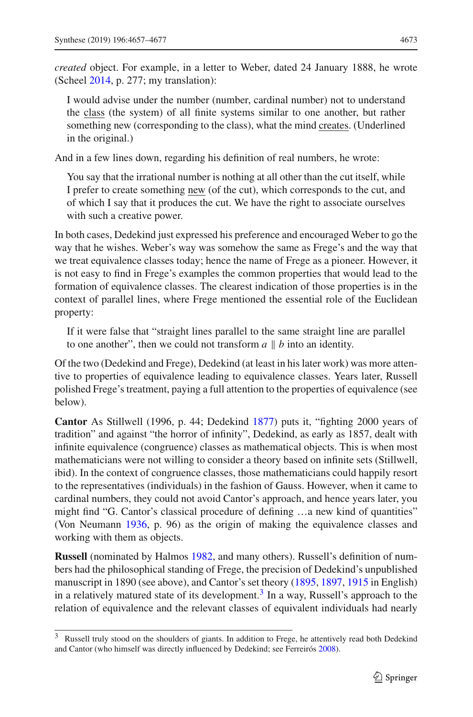*created* object. For example, in a letter to Weber, dated 24 January 1888, he wrote (Schee[l](#page-21-36) [2014](#page-21-36), p. 277; my translation):

I would advise under the number (number, cardinal number) not to understand the class (the system) of all finite systems similar to one another, but rather something new (corresponding to the class), what the mind creates. (Underlined in the original.)

And in a few lines down, regarding his definition of real numbers, he wrote:

You say that the irrational number is nothing at all other than the cut itself, while I prefer to create something new (of the cut), which corresponds to the cut, and of which I say that it produces the cut. We have the right to associate ourselves with such a creative power.

In both cases, Dedekind just expressed his preference and encouraged Weber to go the way that he wishes. Weber's way was somehow the same as Frege's and the way that we treat equivalence classes today; hence the name of Frege as a pioneer. However, it is not easy to find in Frege's examples the common properties that would lead to the formation of equivalence classes. The clearest indication of those properties is in the context of parallel lines, where Frege mentioned the essential role of the Euclidean property:

If it were false that "straight lines parallel to the same straight line are parallel to one another", then we could not transform  $a \parallel b$  into an identity.

Of the two (Dedekind and Frege), Dedekind (at least in his later work) was more attentive to properties of equivalence leading to equivalence classes. Years later, Russell polished Frege's treatment, paying a full attention to the properties of equivalence (see below).

**Cantor** As Stillwell (1996, p. 44; Dedekin[d](#page-20-17) [1877\)](#page-20-17) puts it, "fighting 2000 years of tradition" and against "the horror of infinity", Dedekind, as early as 1857, dealt with infinite equivalence (congruence) classes as mathematical objects. This is when most mathematicians were not willing to consider a theory based on infinite sets (Stillwell, ibid). In the context of congruence classes, those mathematicians could happily resort to the representatives (individuals) in the fashion of Gauss. However, when it came to cardinal numbers, they could not avoid Cantor's approach, and hence years later, you might find "G. Cantor's classical procedure of defining …a new kind of quantities" (Von Neuman[n](#page-21-18) [1936,](#page-21-18) p. 96) as the origin of making the equivalence classes and working with them as objects.

**Russell** (nominated by Halmo[s](#page-21-37) [1982,](#page-21-37) and many others). Russell's definition of numbers had the philosophical standing of Frege, the precision of Dedekind's unpublished manuscript in 1890 (see above), and Cantor's set theory [\(1895,](#page-20-10) [1897](#page-20-19), [1915](#page-20-20) in English) in a relatively matured state of its development.<sup>[3](#page-17-0)</sup> In a way, Russell's approach to the relation of equivalence and the relevant classes of equivalent individuals had nearly

<span id="page-17-0"></span><sup>&</sup>lt;sup>3</sup> Russell truly stood on the shoulders of giants. In addition to Frege, he attentively read both Dedekind and Cantor (who himself was directly influenced by Dedekind; see Ferreiró[s](#page-20-0) [2008](#page-20-0)).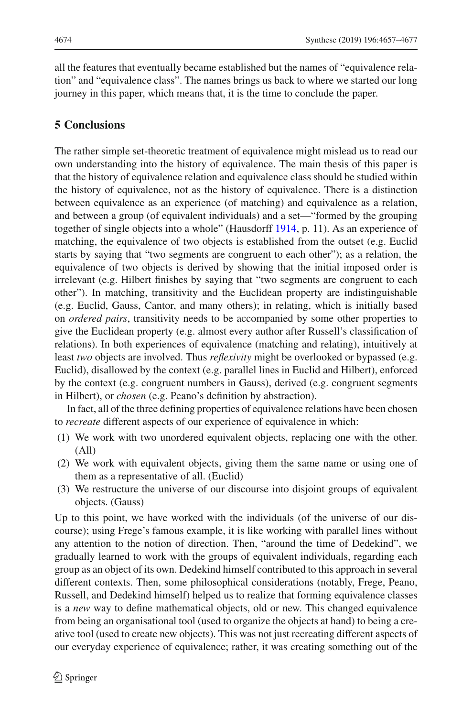all the features that eventually became established but the names of "equivalence relation" and "equivalence class". The names brings us back to where we started our long journey in this paper, which means that, it is the time to conclude the paper.

# **5 Conclusions**

The rather simple set-theoretic treatment of equivalence might mislead us to read our own understanding into the history of equivalence. The main thesis of this paper is that the history of equivalence relation and equivalence class should be studied within the history of equivalence, not as the history of equivalence. There is a distinction between equivalence as an experience (of matching) and equivalence as a relation, and between a group (of equivalent individuals) and a set—"formed by the grouping together of single objects into a whole" (Hausdorf[f](#page-21-10) [1914,](#page-21-10) p. 11). As an experience of matching, the equivalence of two objects is established from the outset (e.g. Euclid starts by saying that "two segments are congruent to each other"); as a relation, the equivalence of two objects is derived by showing that the initial imposed order is irrelevant (e.g. Hilbert finishes by saying that "two segments are congruent to each other"). In matching, transitivity and the Euclidean property are indistinguishable (e.g. Euclid, Gauss, Cantor, and many others); in relating, which is initially based on *ordered pairs*, transitivity needs to be accompanied by some other properties to give the Euclidean property (e.g. almost every author after Russell's classification of relations). In both experiences of equivalence (matching and relating), intuitively at least *two* objects are involved. Thus *reflexivity* might be overlooked or bypassed (e.g. Euclid), disallowed by the context (e.g. parallel lines in Euclid and Hilbert), enforced by the context (e.g. congruent numbers in Gauss), derived (e.g. congruent segments in Hilbert), or *chosen* (e.g. Peano's definition by abstraction).

In fact, all of the three defining properties of equivalence relations have been chosen to *recreate* different aspects of our experience of equivalence in which:

- (1) We work with two unordered equivalent objects, replacing one with the other. (All)
- (2) We work with equivalent objects, giving them the same name or using one of them as a representative of all. (Euclid)
- (3) We restructure the universe of our discourse into disjoint groups of equivalent objects. (Gauss)

Up to this point, we have worked with the individuals (of the universe of our discourse); using Frege's famous example, it is like working with parallel lines without any attention to the notion of direction. Then, "around the time of Dedekind", we gradually learned to work with the groups of equivalent individuals, regarding each group as an object of its own. Dedekind himself contributed to this approach in several different contexts. Then, some philosophical considerations (notably, Frege, Peano, Russell, and Dedekind himself) helped us to realize that forming equivalence classes is a *new* way to define mathematical objects, old or new. This changed equivalence from being an organisational tool (used to organize the objects at hand) to being a creative tool (used to create new objects). This was not just recreating different aspects of our everyday experience of equivalence; rather, it was creating something out of the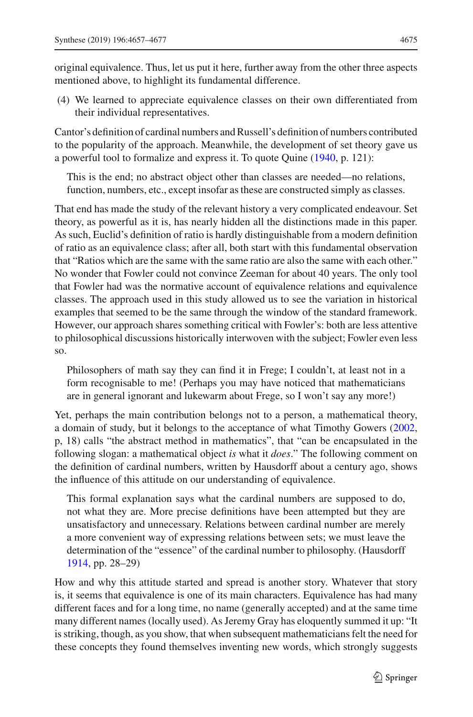original equivalence. Thus, let us put it here, further away from the other three aspects mentioned above, to highlight its fundamental difference.

(4) We learned to appreciate equivalence classes on their own differentiated from their individual representatives.

Cantor's definition of cardinal numbers and Russell's definition of numbers contributed to the popularity of the approach. Meanwhile, the development of set theory gave us a powerful tool to formalize and express it. To quote Quine [\(1940,](#page-21-38) p. 121):

This is the end; no abstract object other than classes are needed—no relations, function, numbers, etc., except insofar as these are constructed simply as classes.

That end has made the study of the relevant history a very complicated endeavour. Set theory, as powerful as it is, has nearly hidden all the distinctions made in this paper. As such, Euclid's definition of ratio is hardly distinguishable from a modern definition of ratio as an equivalence class; after all, both start with this fundamental observation that "Ratios which are the same with the same ratio are also the same with each other." No wonder that Fowler could not convince Zeeman for about 40 years. The only tool that Fowler had was the normative account of equivalence relations and equivalence classes. The approach used in this study allowed us to see the variation in historical examples that seemed to be the same through the window of the standard framework. However, our approach shares something critical with Fowler's: both are less attentive to philosophical discussions historically interwoven with the subject; Fowler even less so.

Philosophers of math say they can find it in Frege; I couldn't, at least not in a form recognisable to me! (Perhaps you may have noticed that mathematicians are in general ignorant and lukewarm about Frege, so I won't say any more!)

Yet, perhaps the main contribution belongs not to a person, a mathematical theory, a domain of study, but it belongs to the acceptance of what Timothy Gowers [\(2002,](#page-21-39) p, 18) calls "the abstract method in mathematics", that "can be encapsulated in the following slogan: a mathematical object *is* what it *does*." The following comment on the definition of cardinal numbers, written by Hausdorff about a century ago, shows the influence of this attitude on our understanding of equivalence.

This formal explanation says what the cardinal numbers are supposed to do, not what they are. More precise definitions have been attempted but they are unsatisfactory and unnecessary. Relations between cardinal number are merely a more convenient way of expressing relations between sets; we must leave the determination of the "essence" of the cardinal number to philosophy. (Hausdorf[f](#page-21-10) [1914,](#page-21-10) pp. 28–29)

How and why this attitude started and spread is another story. Whatever that story is, it seems that equivalence is one of its main characters. Equivalence has had many different faces and for a long time, no name (generally accepted) and at the same time many different names (locally used). As Jeremy Gray has eloquently summed it up: "It is striking, though, as you show, that when subsequent mathematicians felt the need for these concepts they found themselves inventing new words, which strongly suggests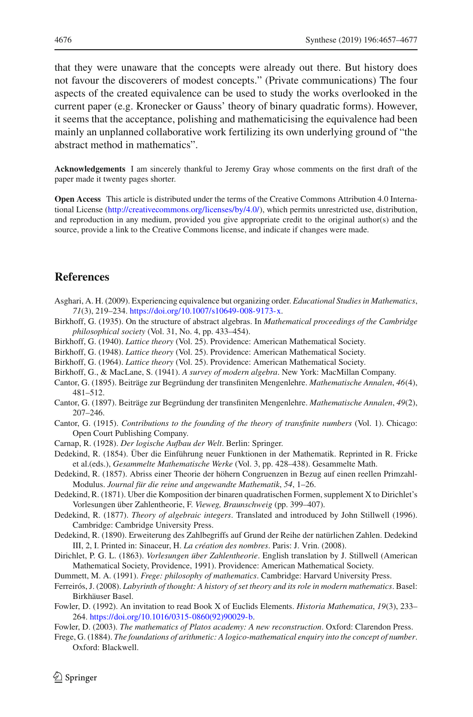that they were unaware that the concepts were already out there. But history does not favour the discoverers of modest concepts." (Private communications) The four aspects of the created equivalence can be used to study the works overlooked in the current paper (e.g. Kronecker or Gauss' theory of binary quadratic forms). However, it seems that the acceptance, polishing and mathematicising the equivalence had been mainly an unplanned collaborative work fertilizing its own underlying ground of "the abstract method in mathematics".

**Acknowledgements** I am sincerely thankful to Jeremy Gray whose comments on the first draft of the paper made it twenty pages shorter.

**Open Access** This article is distributed under the terms of the Creative Commons Attribution 4.0 International License [\(http://creativecommons.org/licenses/by/4.0/\)](http://creativecommons.org/licenses/by/4.0/), which permits unrestricted use, distribution, and reproduction in any medium, provided you give appropriate credit to the original author(s) and the source, provide a link to the Creative Commons license, and indicate if changes were made.

#### **References**

- <span id="page-20-12"></span>Asghari, A. H. (2009). Experiencing equivalence but organizing order. *Educational Studies in Mathematics*, *71*(3), 219–234. [https://doi.org/10.1007/s10649-008-9173-x.](https://doi.org/10.1007/s10649-008-9173-x)
- <span id="page-20-2"></span>Birkhoff, G. (1935). On the structure of abstract algebras. In *Mathematical proceedings of the Cambridge philosophical society* (Vol. 31, No. 4, pp. 433–454).
- <span id="page-20-5"></span>Birkhoff, G. (1940). *Lattice theory* (Vol. 25). Providence: American Mathematical Society.
- <span id="page-20-4"></span>Birkhoff, G. (1948). *Lattice theory* (Vol. 25). Providence: American Mathematical Society.
- <span id="page-20-7"></span>Birkhoff, G. (1964). *Lattice theory* (Vol. 25). Providence: American Mathematical Society.
- <span id="page-20-6"></span>Birkhoff, G., & MacLane, S. (1941). *A survey of modern algebra*. New York: MacMillan Company.
- <span id="page-20-10"></span>Cantor, G. (1895). Beiträge zur Begründung der transfiniten Mengenlehre. *Mathematische Annalen*, *46*(4), 481–512.
- <span id="page-20-19"></span>Cantor, G. (1897). Beiträge zur Begründung der transfiniten Mengenlehre. *Mathematische Annalen*, *49*(2), 207–246.
- <span id="page-20-20"></span>Cantor, G. (1915). *Contributions to the founding of the theory of transfinite numbers* (Vol. 1). Chicago: Open Court Publishing Company.
- <span id="page-20-3"></span>Carnap, R. (1928). *Der logische Aufbau der Welt*. Berlin: Springer.
- <span id="page-20-11"></span>Dedekind, R. (1854). Über die Einführung neuer Funktionen in der Mathematik. Reprinted in R. Fricke et al.(eds.), *Gesammelte Mathematische Werke* (Vol. 3, pp. 428–438). Gesammelte Math.
- <span id="page-20-14"></span>Dedekind, R. (1857). Abriss einer Theorie der höhern Congruenzen in Bezug auf einen reellen Primzahl-Modulus. *Journal für die reine und angewandte Mathematik*, *54*, 1–26.

<span id="page-20-16"></span>Dedekind, R. (1871). Uber die Komposition der binaren quadratischen Formen, supplement X to Dirichlet's Vorlesungen über Zahlentheorie, F. *Vieweg, Braunschweig* (pp. 399–407).

- <span id="page-20-17"></span>Dedekind, R. (1877). *Theory of algebraic integers*. Translated and introduced by John Stillwell (1996). Cambridge: Cambridge University Press.
- <span id="page-20-18"></span>Dedekind, R. (1890). Erweiterung des Zahlbegriffs auf Grund der Reihe der natürlichen Zahlen. Dedekind III, 2, I. Printed in: Sinaceur, H. *La création des nombres*. Paris: J. Vrin. (2008).
- <span id="page-20-15"></span>Dirichlet, P. G. L. (1863). *Vorlesungen über Zahlentheorie*. English translation by J. Stillwell (American Mathematical Society, Providence, 1991). Providence: American Mathematical Society.

<span id="page-20-1"></span>Dummett, M. A. (1991). *Frege: philosophy of mathematics*. Cambridge: Harvard University Press.

- <span id="page-20-0"></span>Ferreirós, J. (2008). *Labyrinth of thought: A history of set theory and its role in modern mathematics*. Basel: Birkhäuser Basel.
- <span id="page-20-13"></span>Fowler, D. (1992). An invitation to read Book X of Euclids Elements. *Historia Mathematica*, *19*(3), 233– 264. [https://doi.org/10.1016/0315-0860\(92\)90029-b.](https://doi.org/10.1016/0315-0860(92)90029-b)
- <span id="page-20-8"></span>Fowler, D. (2003). *The mathematics of Platos academy: A new reconstruction*. Oxford: Clarendon Press.
- <span id="page-20-9"></span>Frege, G. (1884). *The foundations of arithmetic: A logico-mathematical enquiry into the concept of number*. Oxford: Blackwell.